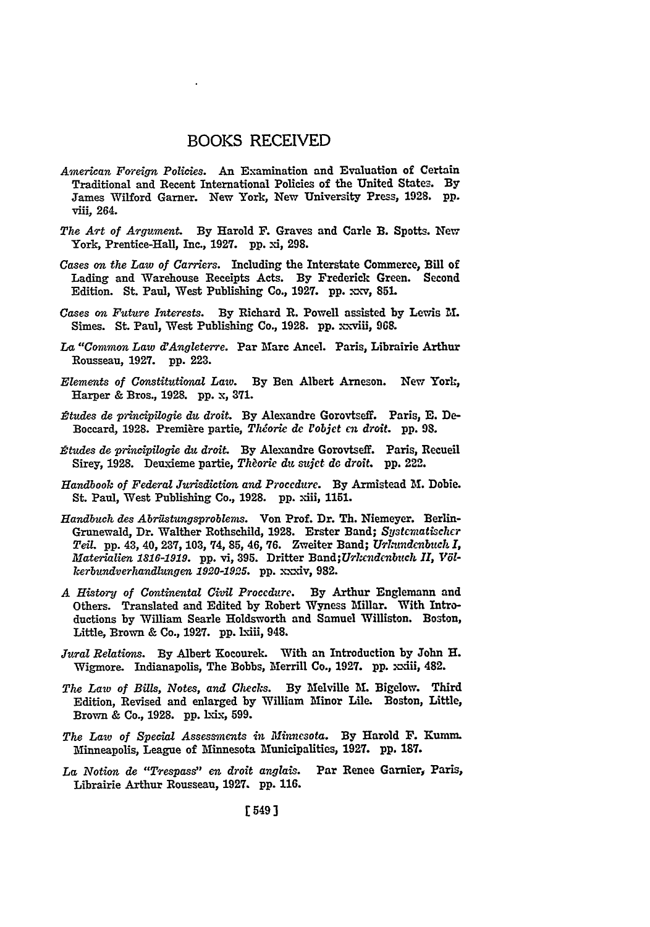## BOOKS RECEIVED

- *American Foreign Policies.* An Examination and Evaluation of Certain Traditional and Recent International Policies of the United States. **By** James Wilford Garner. New York, New University Press, **1928. pp.** viii, 264.
- The Art of Argument. By Harold F. Graves and Carle B. Spotts. New York, Prentice-Hall, Inc., **1927. pp. x1, 298.**
- *Cases on the Law of Carriers.* Including the Interstate Commerce, Bill of Lading and Warehouse Receipts Acts. **By** Frederick Green. Second Edition. St. Paul, West Publishing Co., **1927. pp.** xxv, **85L**
- *Cases on Future Interests.* **By** Richard **R.** Powell assisted **by** Lewis **M.** Simes. St. Paul, West Publishing Co., **1928. pp.** xxviii, **968.**
- La "Common Law d'Angleterre. Par Marc Ancel. Paris, Librairie Arthur Rousseau, **1927. pp. 223.**
- *Elements of Constitutional Law.* **By** Ben Albert Arneson. New York, Harper **&** Bros., **1928. pp.** x, **371.**
- *2tudes de principilogie du droit.* **By** Alexandre Gorovtseff. Paris, **E. De-**Boceard, **1928.** Premiere partie, *Th&rie de lobjet en droit.* **pp. 98.**
- *Rtudes de principilogie du droit.* **By** Alexandre Gorovtseff. Paris, Recueil Sirey, **1928.** Deuxieme partie, *Theorie du suiet de droit.* **pp.** 222.
- *Handbook of Federal Jurisdiction and Procedure.* **By** Armistead **M.** Dobie. St. Paul, West Publishing Co., 1928. pp. xiii, 1151.
- *Handbuch des Abrilstungsproblens.* Von Prof. Dr. Th. Niemeyer. Berlin-Grunewald, Dr. Walther Rothschild, 1928. Erster Band; Systematischer *Teil.* **pp.** 43, 40, **237, 103,** 74, **85,** 46, **76.** Zweiter Band; *Urnazdenbuch I, Materialien 1816-1919.* **pp.** vi, **395.** Dritter *Band;Urkcnidenbuch II, V61 kerbundverhandlungen 1920-1925.* **pp.** xxxiv, **982.**
- *A History of Continental Civil Procedure.* **By** Arthur Englemann and Others. Translated and Edited **by** Robert Wyness Millar. With Introductions by William Searle Holdsworth and Samuel Williston. Boston, Little, Brown & Co., **1927. pp.** lxiii, 948.
- *Jural Relations.* **By** Albert Kocourek. With an Introduction by John H. Wigmore. Indianapolis, The Bobbs, Merrill Co., **1927. pp.** xxiii, 482.
- *The Law of Bills, Notes, and Checks.* **By** Melville M. Bigelow. Third Edition, Revised and enlarged by William Minor Lile. Boston, Little, Brown **&** Co., **1928. pp.** Lxix, **599.**
- *The Law of Special Assessments in Minnesota.* **By** Harold **F.** Kunm. Minneapolis, League of Minnesota Municipalities, **1927. pp. 187.**
- *La Notion de "T-respass" en droit anglais.* Par Renee Gamier, Paris, Librairie Arthur Rousseau, **1927. pp. 116.**